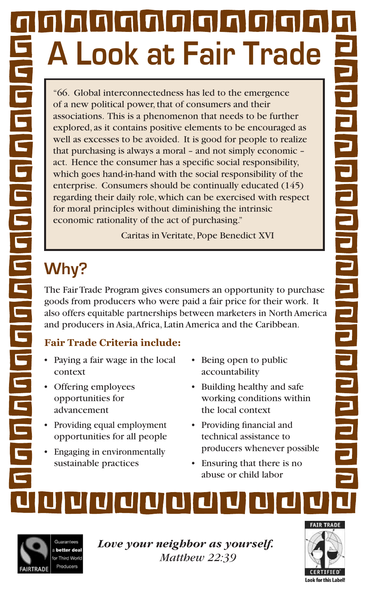# nnnnnnnnn **A Look at Fair Trade**

"66. Global interconnectedness has led to the emergence of a new political power, that of consumers and their associations. This is a phenomenon that needs to be further explored, as it contains positive elements to be encouraged as well as excesses to be avoided. It is good for people to realize that purchasing is always a moral – and not simply economic – act. Hence the consumer has a specific social responsibility, which goes hand-in-hand with the social responsibility of the enterprise. Consumers should be continually educated (145) regarding their daily role, which can be exercised with respect for moral principles without diminishing the intrinsic economic rationality of the act of purchasing."

Caritas in Veritate, Pope Benedict XVI

### **Why?**

The Fair Trade Program gives consumers an opportunity to purchase goods from producers who were paid a fair price for their work. It also offers equitable partnerships between marketers in North America and producers in Asia, Africa, Latin America and the Caribbean.

#### **Fair Trade Criteria include:**

- Paying a fair wage in the local context
- • Offering employees opportunities for advancement
- Providing equal employment opportunities for all people
- Engaging in environmentally sustainable practices
- Being open to public accountability
- Building healthy and safe working conditions within the local context
- • Providing financial and technical assistance to producers whenever possible
- Ensuring that there is no abuse or child labor





*Love your neighbor as yourself. Matthew 22:39* 



n | n | n | n | n | n | n